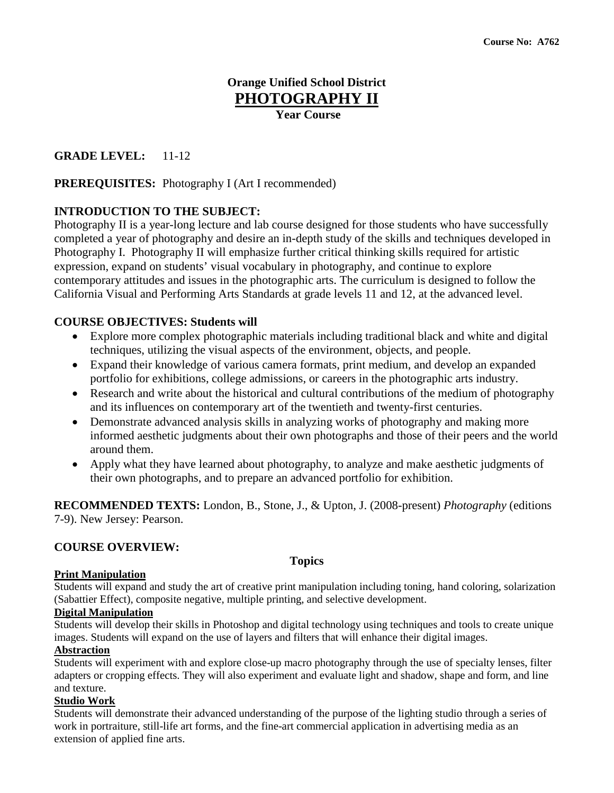# **Orange Unified School District PHOTOGRAPHY II**

**Year Course**

# **GRADE LEVEL:** 11-12

## **PREREQUISITES:** Photography I (Art I recommended)

# **INTRODUCTION TO THE SUBJECT:**

Photography II is a year-long lecture and lab course designed for those students who have successfully completed a year of photography and desire an in-depth study of the skills and techniques developed in Photography I. Photography II will emphasize further critical thinking skills required for artistic expression, expand on students' visual vocabulary in photography, and continue to explore contemporary attitudes and issues in the photographic arts. The curriculum is designed to follow the California Visual and Performing Arts Standards at grade levels 11 and 12, at the advanced level.

## **COURSE OBJECTIVES: Students will**

- Explore more complex photographic materials including traditional black and white and digital techniques, utilizing the visual aspects of the environment, objects, and people.
- Expand their knowledge of various camera formats, print medium, and develop an expanded portfolio for exhibitions, college admissions, or careers in the photographic arts industry.
- Research and write about the historical and cultural contributions of the medium of photography and its influences on contemporary art of the twentieth and twenty-first centuries.
- Demonstrate advanced analysis skills in analyzing works of photography and making more informed aesthetic judgments about their own photographs and those of their peers and the world around them.
- Apply what they have learned about photography, to analyze and make aesthetic judgments of their own photographs, and to prepare an advanced portfolio for exhibition.

**RECOMMENDED TEXTS:** London, B., Stone, J., & Upton, J. (2008-present) *Photography* (editions 7-9). New Jersey: Pearson.

## **COURSE OVERVIEW:**

# **Topics**

## **Print Manipulation**

Students will expand and study the art of creative print manipulation including toning, hand coloring, solarization (Sabattier Effect), composite negative, multiple printing, and selective development.

### **Digital Manipulation**

Students will develop their skills in Photoshop and digital technology using techniques and tools to create unique images. Students will expand on the use of layers and filters that will enhance their digital images.

## **Abstraction**

Students will experiment with and explore close-up macro photography through the use of specialty lenses, filter adapters or cropping effects. They will also experiment and evaluate light and shadow, shape and form, and line and texture.

## **Studio Work**

Students will demonstrate their advanced understanding of the purpose of the lighting studio through a series of work in portraiture, still-life art forms, and the fine-art commercial application in advertising media as an extension of applied fine arts.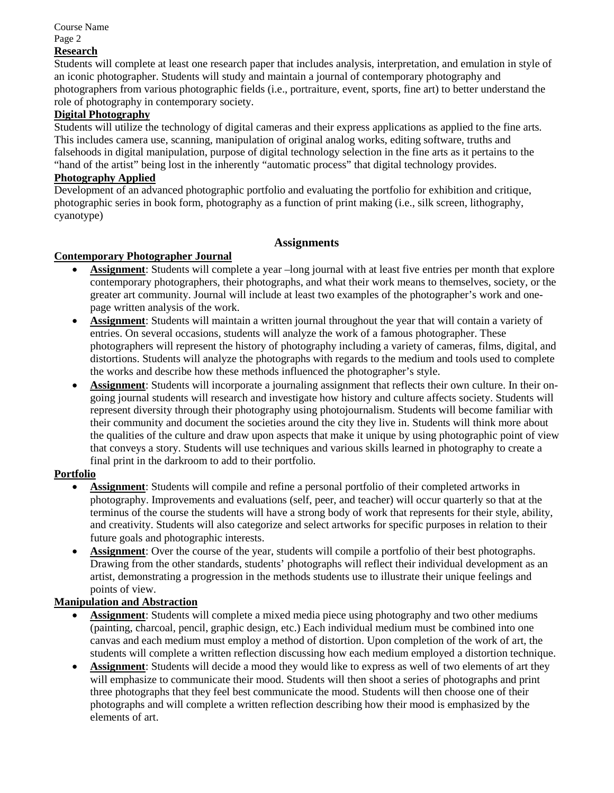Course Name Page 2

# **Research**

Students will complete at least one research paper that includes analysis, interpretation, and emulation in style of an iconic photographer. Students will study and maintain a journal of contemporary photography and photographers from various photographic fields (i.e., portraiture, event, sports, fine art) to better understand the role of photography in contemporary society.

### **Digital Photography**

Students will utilize the technology of digital cameras and their express applications as applied to the fine arts. This includes camera use, scanning, manipulation of original analog works, editing software, truths and falsehoods in digital manipulation, purpose of digital technology selection in the fine arts as it pertains to the "hand of the artist" being lost in the inherently "automatic process" that digital technology provides.

#### **Photography Applied**

Development of an advanced photographic portfolio and evaluating the portfolio for exhibition and critique, photographic series in book form, photography as a function of print making (i.e., silk screen, lithography, cyanotype)

## **Assignments**

### **Contemporary Photographer Journal**

- **Assignment**: Students will complete a year –long journal with at least five entries per month that explore contemporary photographers, their photographs, and what their work means to themselves, society, or the greater art community. Journal will include at least two examples of the photographer's work and onepage written analysis of the work.
- **Assignment**: Students will maintain a written journal throughout the year that will contain a variety of entries. On several occasions, students will analyze the work of a famous photographer. These photographers will represent the history of photography including a variety of cameras, films, digital, and distortions. Students will analyze the photographs with regards to the medium and tools used to complete the works and describe how these methods influenced the photographer's style.
- **Assignment**: Students will incorporate a journaling assignment that reflects their own culture. In their ongoing journal students will research and investigate how history and culture affects society. Students will represent diversity through their photography using photojournalism. Students will become familiar with their community and document the societies around the city they live in. Students will think more about the qualities of the culture and draw upon aspects that make it unique by using photographic point of view that conveys a story. Students will use techniques and various skills learned in photography to create a final print in the darkroom to add to their portfolio.

### **Portfolio**

- **Assignment**: Students will compile and refine a personal portfolio of their completed artworks in photography. Improvements and evaluations (self, peer, and teacher) will occur quarterly so that at the terminus of the course the students will have a strong body of work that represents for their style, ability, and creativity. Students will also categorize and select artworks for specific purposes in relation to their future goals and photographic interests.
- Assignment: Over the course of the year, students will compile a portfolio of their best photographs. Drawing from the other standards, students' photographs will reflect their individual development as an artist, demonstrating a progression in the methods students use to illustrate their unique feelings and points of view.

### **Manipulation and Abstraction**

- **Assignment**: Students will complete a mixed media piece using photography and two other mediums (painting, charcoal, pencil, graphic design, etc.) Each individual medium must be combined into one canvas and each medium must employ a method of distortion. Upon completion of the work of art, the students will complete a written reflection discussing how each medium employed a distortion technique.
- **Assignment**: Students will decide a mood they would like to express as well of two elements of art they will emphasize to communicate their mood. Students will then shoot a series of photographs and print three photographs that they feel best communicate the mood. Students will then choose one of their photographs and will complete a written reflection describing how their mood is emphasized by the elements of art.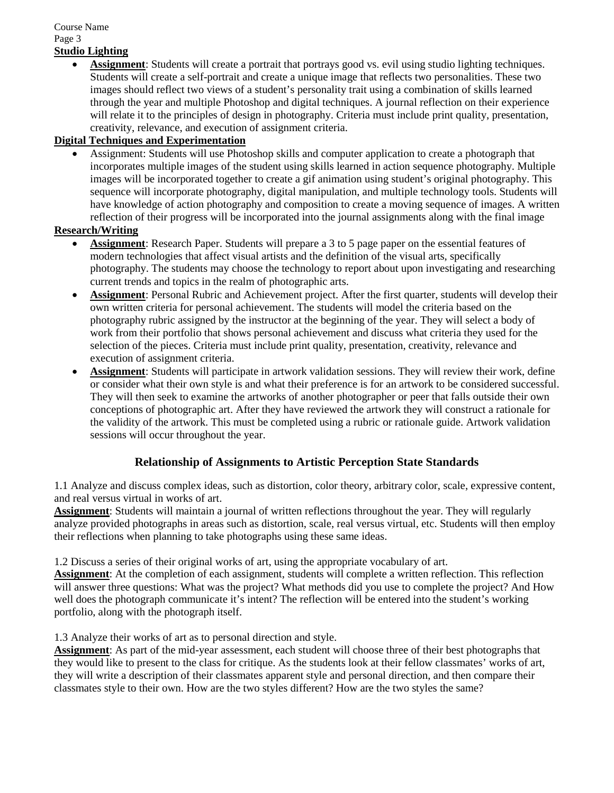### Course Name Page 3 **Studio Lighting**

• **Assignment**: Students will create a portrait that portrays good vs. evil using studio lighting techniques. Students will create a self-portrait and create a unique image that reflects two personalities. These two images should reflect two views of a student's personality trait using a combination of skills learned through the year and multiple Photoshop and digital techniques. A journal reflection on their experience will relate it to the principles of design in photography. Criteria must include print quality, presentation, creativity, relevance, and execution of assignment criteria.

# **Digital Techniques and Experimentation**

• Assignment: Students will use Photoshop skills and computer application to create a photograph that incorporates multiple images of the student using skills learned in action sequence photography. Multiple images will be incorporated together to create a gif animation using student's original photography. This sequence will incorporate photography, digital manipulation, and multiple technology tools. Students will have knowledge of action photography and composition to create a moving sequence of images. A written reflection of their progress will be incorporated into the journal assignments along with the final image

# **Research/Writing**

- **Assignment**: Research Paper. Students will prepare a 3 to 5 page paper on the essential features of modern technologies that affect visual artists and the definition of the visual arts, specifically photography. The students may choose the technology to report about upon investigating and researching current trends and topics in the realm of photographic arts.
- **Assignment**: Personal Rubric and Achievement project. After the first quarter, students will develop their own written criteria for personal achievement. The students will model the criteria based on the photography rubric assigned by the instructor at the beginning of the year. They will select a body of work from their portfolio that shows personal achievement and discuss what criteria they used for the selection of the pieces. Criteria must include print quality, presentation, creativity, relevance and execution of assignment criteria.
- **Assignment**: Students will participate in artwork validation sessions. They will review their work, define or consider what their own style is and what their preference is for an artwork to be considered successful. They will then seek to examine the artworks of another photographer or peer that falls outside their own conceptions of photographic art. After they have reviewed the artwork they will construct a rationale for the validity of the artwork. This must be completed using a rubric or rationale guide. Artwork validation sessions will occur throughout the year.

# **Relationship of Assignments to Artistic Perception State Standards**

1.1 Analyze and discuss complex ideas, such as distortion, color theory, arbitrary color, scale, expressive content, and real versus virtual in works of art.

**Assignment**: Students will maintain a journal of written reflections throughout the year. They will regularly analyze provided photographs in areas such as distortion, scale, real versus virtual, etc. Students will then employ their reflections when planning to take photographs using these same ideas.

1.2 Discuss a series of their original works of art, using the appropriate vocabulary of art.

**Assignment**: At the completion of each assignment, students will complete a written reflection. This reflection will answer three questions: What was the project? What methods did you use to complete the project? And How well does the photograph communicate it's intent? The reflection will be entered into the student's working portfolio, along with the photograph itself.

1.3 Analyze their works of art as to personal direction and style.

**Assignment**: As part of the mid-year assessment, each student will choose three of their best photographs that they would like to present to the class for critique. As the students look at their fellow classmates' works of art, they will write a description of their classmates apparent style and personal direction, and then compare their classmates style to their own. How are the two styles different? How are the two styles the same?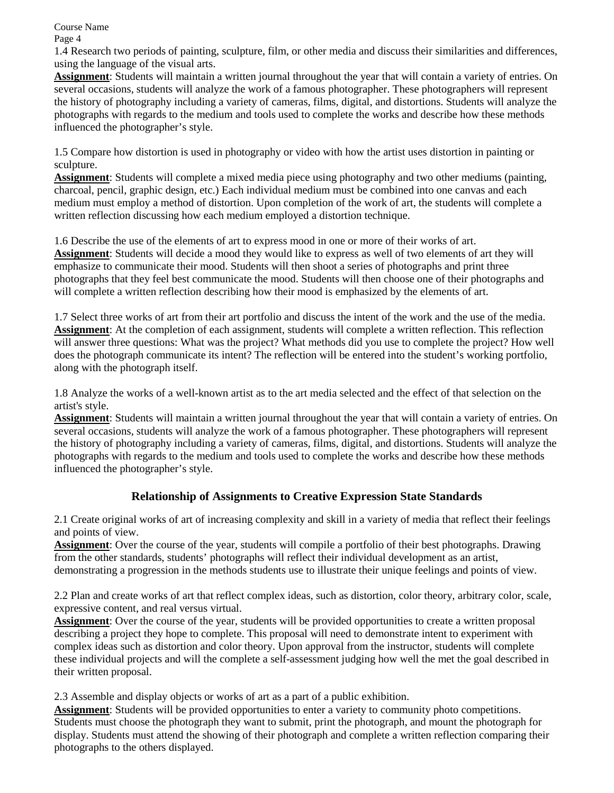Course Name

Page 4

1.4 Research two periods of painting, sculpture, film, or other media and discuss their similarities and differences, using the language of the visual arts.

**Assignment**: Students will maintain a written journal throughout the year that will contain a variety of entries. On several occasions, students will analyze the work of a famous photographer. These photographers will represent the history of photography including a variety of cameras, films, digital, and distortions. Students will analyze the photographs with regards to the medium and tools used to complete the works and describe how these methods influenced the photographer's style.

1.5 Compare how distortion is used in photography or video with how the artist uses distortion in painting or sculpture.

**Assignment**: Students will complete a mixed media piece using photography and two other mediums (painting, charcoal, pencil, graphic design, etc.) Each individual medium must be combined into one canvas and each medium must employ a method of distortion. Upon completion of the work of art, the students will complete a written reflection discussing how each medium employed a distortion technique.

1.6 Describe the use of the elements of art to express mood in one or more of their works of art. **Assignment**: Students will decide a mood they would like to express as well of two elements of art they will emphasize to communicate their mood. Students will then shoot a series of photographs and print three photographs that they feel best communicate the mood. Students will then choose one of their photographs and will complete a written reflection describing how their mood is emphasized by the elements of art.

1.7 Select three works of art from their art portfolio and discuss the intent of the work and the use of the media. **Assignment**: At the completion of each assignment, students will complete a written reflection. This reflection will answer three questions: What was the project? What methods did you use to complete the project? How well does the photograph communicate its intent? The reflection will be entered into the student's working portfolio, along with the photograph itself.

1.8 Analyze the works of a well-known artist as to the art media selected and the effect of that selection on the artist's style.

**Assignment**: Students will maintain a written journal throughout the year that will contain a variety of entries. On several occasions, students will analyze the work of a famous photographer. These photographers will represent the history of photography including a variety of cameras, films, digital, and distortions. Students will analyze the photographs with regards to the medium and tools used to complete the works and describe how these methods influenced the photographer's style.

# **Relationship of Assignments to Creative Expression State Standards**

2.1 Create original works of art of increasing complexity and skill in a variety of media that reflect their feelings and points of view.

**Assignment**: Over the course of the year, students will compile a portfolio of their best photographs. Drawing from the other standards, students' photographs will reflect their individual development as an artist, demonstrating a progression in the methods students use to illustrate their unique feelings and points of view.

2.2 Plan and create works of art that reflect complex ideas, such as distortion, color theory, arbitrary color, scale, expressive content, and real versus virtual.

**Assignment**: Over the course of the year, students will be provided opportunities to create a written proposal describing a project they hope to complete. This proposal will need to demonstrate intent to experiment with complex ideas such as distortion and color theory. Upon approval from the instructor, students will complete these individual projects and will the complete a self-assessment judging how well the met the goal described in their written proposal.

2.3 Assemble and display objects or works of art as a part of a public exhibition.

**Assignment**: Students will be provided opportunities to enter a variety to community photo competitions. Students must choose the photograph they want to submit, print the photograph, and mount the photograph for display. Students must attend the showing of their photograph and complete a written reflection comparing their photographs to the others displayed.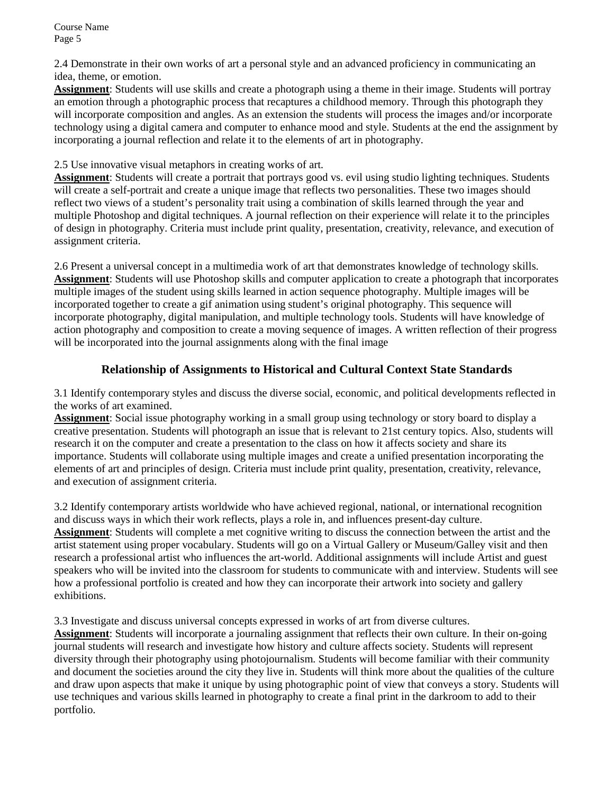2.4 Demonstrate in their own works of art a personal style and an advanced proficiency in communicating an idea, theme, or emotion.

**Assignment**: Students will use skills and create a photograph using a theme in their image. Students will portray an emotion through a photographic process that recaptures a childhood memory. Through this photograph they will incorporate composition and angles. As an extension the students will process the images and/or incorporate technology using a digital camera and computer to enhance mood and style. Students at the end the assignment by incorporating a journal reflection and relate it to the elements of art in photography.

## 2.5 Use innovative visual metaphors in creating works of art.

**Assignment**: Students will create a portrait that portrays good vs. evil using studio lighting techniques. Students will create a self-portrait and create a unique image that reflects two personalities. These two images should reflect two views of a student's personality trait using a combination of skills learned through the year and multiple Photoshop and digital techniques. A journal reflection on their experience will relate it to the principles of design in photography. Criteria must include print quality, presentation, creativity, relevance, and execution of assignment criteria.

2.6 Present a universal concept in a multimedia work of art that demonstrates knowledge of technology skills. **Assignment**: Students will use Photoshop skills and computer application to create a photograph that incorporates multiple images of the student using skills learned in action sequence photography. Multiple images will be incorporated together to create a gif animation using student's original photography. This sequence will incorporate photography, digital manipulation, and multiple technology tools. Students will have knowledge of action photography and composition to create a moving sequence of images. A written reflection of their progress will be incorporated into the journal assignments along with the final image

# **Relationship of Assignments to Historical and Cultural Context State Standards**

3.1 Identify contemporary styles and discuss the diverse social, economic, and political developments reflected in the works of art examined.

**Assignment**: Social issue photography working in a small group using technology or story board to display a creative presentation. Students will photograph an issue that is relevant to 21st century topics. Also, students will research it on the computer and create a presentation to the class on how it affects society and share its importance. Students will collaborate using multiple images and create a unified presentation incorporating the elements of art and principles of design. Criteria must include print quality, presentation, creativity, relevance, and execution of assignment criteria.

3.2 Identify contemporary artists worldwide who have achieved regional, national, or international recognition and discuss ways in which their work reflects, plays a role in, and influences present-day culture. **Assignment**: Students will complete a met cognitive writing to discuss the connection between the artist and the artist statement using proper vocabulary. Students will go on a Virtual Gallery or Museum/Galley visit and then research a professional artist who influences the art-world. Additional assignments will include Artist and guest speakers who will be invited into the classroom for students to communicate with and interview. Students will see how a professional portfolio is created and how they can incorporate their artwork into society and gallery exhibitions.

3.3 Investigate and discuss universal concepts expressed in works of art from diverse cultures.

**Assignment**: Students will incorporate a journaling assignment that reflects their own culture. In their on-going journal students will research and investigate how history and culture affects society. Students will represent diversity through their photography using photojournalism. Students will become familiar with their community and document the societies around the city they live in. Students will think more about the qualities of the culture and draw upon aspects that make it unique by using photographic point of view that conveys a story. Students will use techniques and various skills learned in photography to create a final print in the darkroom to add to their portfolio.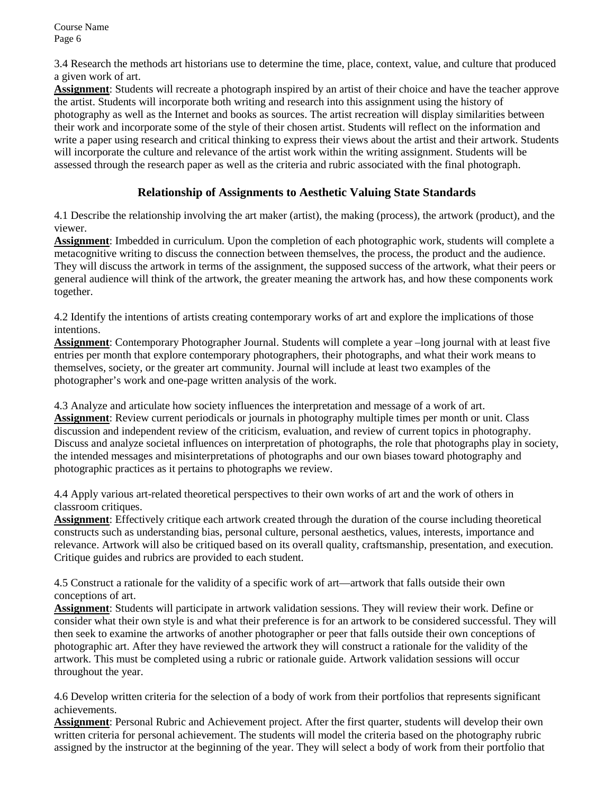3.4 Research the methods art historians use to determine the time, place, context, value, and culture that produced a given work of art.

**Assignment**: Students will recreate a photograph inspired by an artist of their choice and have the teacher approve the artist. Students will incorporate both writing and research into this assignment using the history of photography as well as the Internet and books as sources. The artist recreation will display similarities between their work and incorporate some of the style of their chosen artist. Students will reflect on the information and write a paper using research and critical thinking to express their views about the artist and their artwork. Students will incorporate the culture and relevance of the artist work within the writing assignment. Students will be assessed through the research paper as well as the criteria and rubric associated with the final photograph.

# **Relationship of Assignments to Aesthetic Valuing State Standards**

4.1 Describe the relationship involving the art maker (artist), the making (process), the artwork (product), and the viewer.

**Assignment**: Imbedded in curriculum. Upon the completion of each photographic work, students will complete a metacognitive writing to discuss the connection between themselves, the process, the product and the audience. They will discuss the artwork in terms of the assignment, the supposed success of the artwork, what their peers or general audience will think of the artwork, the greater meaning the artwork has, and how these components work together.

4.2 Identify the intentions of artists creating contemporary works of art and explore the implications of those intentions.

**Assignment**: Contemporary Photographer Journal. Students will complete a year –long journal with at least five entries per month that explore contemporary photographers, their photographs, and what their work means to themselves, society, or the greater art community. Journal will include at least two examples of the photographer's work and one-page written analysis of the work.

4.3 Analyze and articulate how society influences the interpretation and message of a work of art. **Assignment**: Review current periodicals or journals in photography multiple times per month or unit. Class discussion and independent review of the criticism, evaluation, and review of current topics in photography. Discuss and analyze societal influences on interpretation of photographs, the role that photographs play in society, the intended messages and misinterpretations of photographs and our own biases toward photography and photographic practices as it pertains to photographs we review.

4.4 Apply various art-related theoretical perspectives to their own works of art and the work of others in classroom critiques.

**Assignment**: Effectively critique each artwork created through the duration of the course including theoretical constructs such as understanding bias, personal culture, personal aesthetics, values, interests, importance and relevance. Artwork will also be critiqued based on its overall quality, craftsmanship, presentation, and execution. Critique guides and rubrics are provided to each student.

4.5 Construct a rationale for the validity of a specific work of art—artwork that falls outside their own conceptions of art.

**Assignment**: Students will participate in artwork validation sessions. They will review their work. Define or consider what their own style is and what their preference is for an artwork to be considered successful. They will then seek to examine the artworks of another photographer or peer that falls outside their own conceptions of photographic art. After they have reviewed the artwork they will construct a rationale for the validity of the artwork. This must be completed using a rubric or rationale guide. Artwork validation sessions will occur throughout the year.

4.6 Develop written criteria for the selection of a body of work from their portfolios that represents significant achievements.

**Assignment**: Personal Rubric and Achievement project. After the first quarter, students will develop their own written criteria for personal achievement. The students will model the criteria based on the photography rubric assigned by the instructor at the beginning of the year. They will select a body of work from their portfolio that